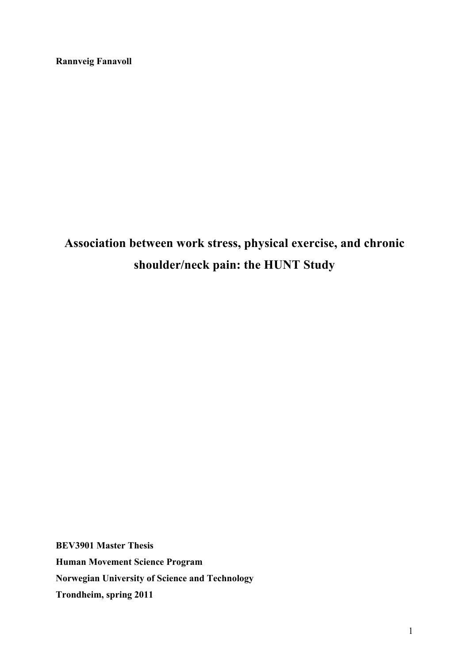**Rannveig Fanavoll**

# **Association between work stress, physical exercise, and chronic shoulder/neck pain: the HUNT Study**

**BEV3901 Master Thesis Human Movement Science Program Norwegian University of Science and Technology Trondheim, spring 2011**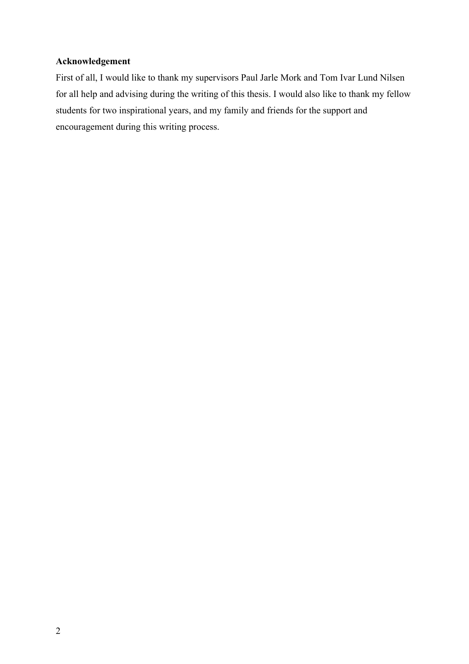## **Acknowledgement**

First of all, I would like to thank my supervisors Paul Jarle Mork and Tom Ivar Lund Nilsen for all help and advising during the writing of this thesis. I would also like to thank my fellow students for two inspirational years, and my family and friends for the support and encouragement during this writing process.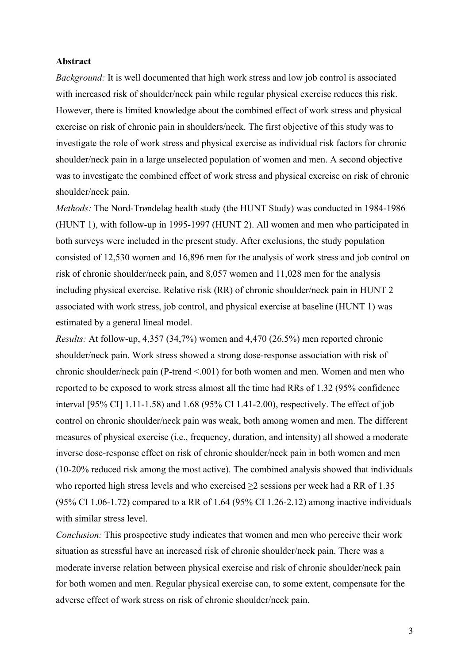#### **Abstract**

*Background:* It is well documented that high work stress and low job control is associated with increased risk of shoulder/neck pain while regular physical exercise reduces this risk. However, there is limited knowledge about the combined effect of work stress and physical exercise on risk of chronic pain in shoulders/neck. The first objective of this study was to investigate the role of work stress and physical exercise as individual risk factors for chronic shoulder/neck pain in a large unselected population of women and men. A second objective was to investigate the combined effect of work stress and physical exercise on risk of chronic shoulder/neck pain.

*Methods:* The Nord-Trøndelag health study (the HUNT Study) was conducted in 1984-1986 (HUNT 1), with follow-up in 1995-1997 (HUNT 2). All women and men who participated in both surveys were included in the present study. After exclusions, the study population consisted of 12,530 women and 16,896 men for the analysis of work stress and job control on risk of chronic shoulder/neck pain, and 8,057 women and 11,028 men for the analysis including physical exercise. Relative risk (RR) of chronic shoulder/neck pain in HUNT 2 associated with work stress, job control, and physical exercise at baseline (HUNT 1) was estimated by a general lineal model.

*Results:* At follow-up, 4,357 (34,7%) women and 4,470 (26.5%) men reported chronic shoulder/neck pain. Work stress showed a strong dose-response association with risk of chronic shoulder/neck pain (P-trend <.001) for both women and men. Women and men who reported to be exposed to work stress almost all the time had RRs of 1.32 (95% confidence interval [95% CI] 1.11-1.58) and 1.68 (95% CI 1.41-2.00), respectively. The effect of job control on chronic shoulder/neck pain was weak, both among women and men. The different measures of physical exercise (i.e., frequency, duration, and intensity) all showed a moderate inverse dose-response effect on risk of chronic shoulder/neck pain in both women and men (10-20% reduced risk among the most active). The combined analysis showed that individuals who reported high stress levels and who exercised  $\geq 2$  sessions per week had a RR of 1.35 (95% CI 1.06-1.72) compared to a RR of 1.64 (95% CI 1.26-2.12) among inactive individuals with similar stress level.

*Conclusion:* This prospective study indicates that women and men who perceive their work situation as stressful have an increased risk of chronic shoulder/neck pain. There was a moderate inverse relation between physical exercise and risk of chronic shoulder/neck pain for both women and men. Regular physical exercise can, to some extent, compensate for the adverse effect of work stress on risk of chronic shoulder/neck pain.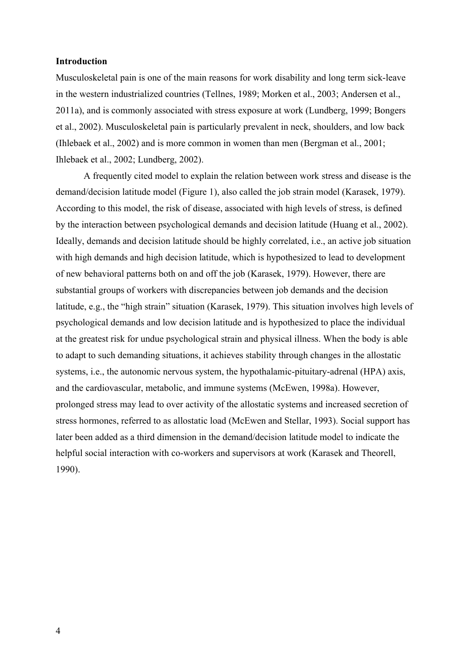#### **Introduction**

Musculoskeletal pain is one of the main reasons for work disability and long term sick-leave in the western industrialized countries (Tellnes, 1989; Morken et al., 2003; Andersen et al., 2011a), and is commonly associated with stress exposure at work (Lundberg, 1999; Bongers et al., 2002). Musculoskeletal pain is particularly prevalent in neck, shoulders, and low back (Ihlebaek et al., 2002) and is more common in women than men (Bergman et al., 2001; Ihlebaek et al., 2002; Lundberg, 2002).

A frequently cited model to explain the relation between work stress and disease is the demand/decision latitude model (Figure 1), also called the job strain model (Karasek, 1979). According to this model, the risk of disease, associated with high levels of stress, is defined by the interaction between psychological demands and decision latitude (Huang et al., 2002). Ideally, demands and decision latitude should be highly correlated, i.e., an active job situation with high demands and high decision latitude, which is hypothesized to lead to development of new behavioral patterns both on and off the job (Karasek, 1979). However, there are substantial groups of workers with discrepancies between job demands and the decision latitude, e.g., the "high strain" situation (Karasek, 1979). This situation involves high levels of psychological demands and low decision latitude and is hypothesized to place the individual at the greatest risk for undue psychological strain and physical illness. When the body is able to adapt to such demanding situations, it achieves stability through changes in the allostatic systems, i.e., the autonomic nervous system, the hypothalamic-pituitary-adrenal (HPA) axis, and the cardiovascular, metabolic, and immune systems (McEwen, 1998a). However, prolonged stress may lead to over activity of the allostatic systems and increased secretion of stress hormones, referred to as allostatic load (McEwen and Stellar, 1993). Social support has later been added as a third dimension in the demand/decision latitude model to indicate the helpful social interaction with co-workers and supervisors at work (Karasek and Theorell, 1990).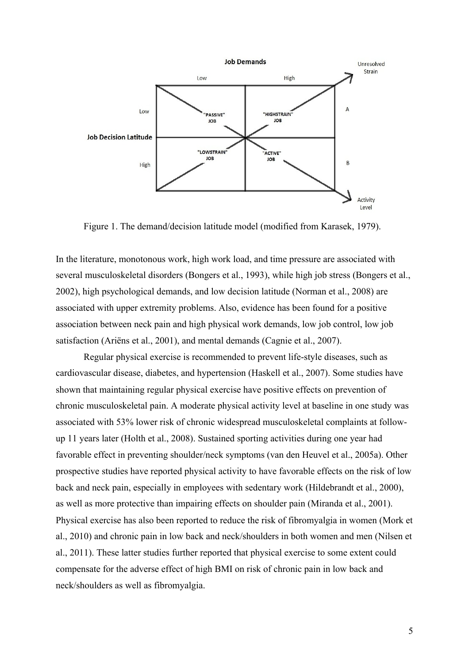

Figure 1. The demand/decision latitude model (modified from Karasek, 1979).

In the literature, monotonous work, high work load, and time pressure are associated with several musculoskeletal disorders (Bongers et al., 1993), while high job stress (Bongers et al., 2002), high psychological demands, and low decision latitude (Norman et al., 2008) are associated with upper extremity problems. Also, evidence has been found for a positive association between neck pain and high physical work demands, low job control, low job satisfaction (Ariëns et al., 2001), and mental demands (Cagnie et al., 2007).

Regular physical exercise is recommended to prevent life-style diseases, such as cardiovascular disease, diabetes, and hypertension (Haskell et al., 2007). Some studies have shown that maintaining regular physical exercise have positive effects on prevention of chronic musculoskeletal pain. A moderate physical activity level at baseline in one study was associated with 53% lower risk of chronic widespread musculoskeletal complaints at followup 11 years later (Holth et al., 2008). Sustained sporting activities during one year had favorable effect in preventing shoulder/neck symptoms (van den Heuvel et al., 2005a). Other prospective studies have reported physical activity to have favorable effects on the risk of low back and neck pain, especially in employees with sedentary work (Hildebrandt et al., 2000), as well as more protective than impairing effects on shoulder pain (Miranda et al., 2001). Physical exercise has also been reported to reduce the risk of fibromyalgia in women (Mork et al., 2010) and chronic pain in low back and neck/shoulders in both women and men (Nilsen et al., 2011). These latter studies further reported that physical exercise to some extent could compensate for the adverse effect of high BMI on risk of chronic pain in low back and neck/shoulders as well as fibromyalgia.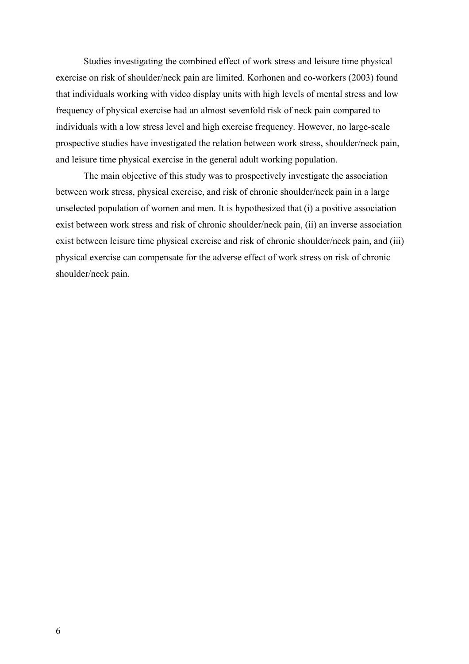Studies investigating the combined effect of work stress and leisure time physical exercise on risk of shoulder/neck pain are limited. Korhonen and co-workers (2003) found that individuals working with video display units with high levels of mental stress and low frequency of physical exercise had an almost sevenfold risk of neck pain compared to individuals with a low stress level and high exercise frequency. However, no large-scale prospective studies have investigated the relation between work stress, shoulder/neck pain, and leisure time physical exercise in the general adult working population.

The main objective of this study was to prospectively investigate the association between work stress, physical exercise, and risk of chronic shoulder/neck pain in a large unselected population of women and men. It is hypothesized that (i) a positive association exist between work stress and risk of chronic shoulder/neck pain, (ii) an inverse association exist between leisure time physical exercise and risk of chronic shoulder/neck pain, and (iii) physical exercise can compensate for the adverse effect of work stress on risk of chronic shoulder/neck pain.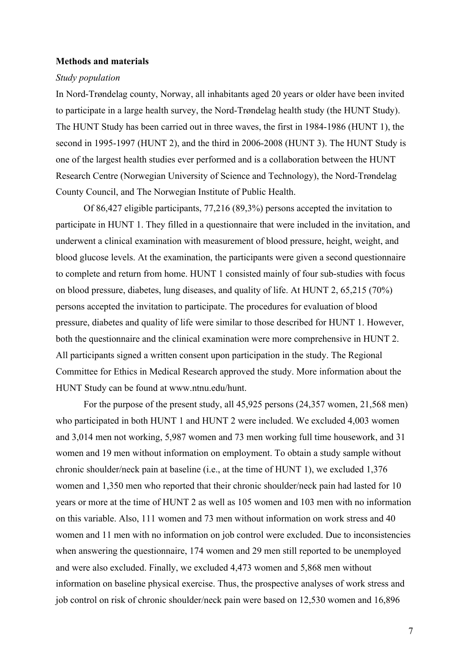#### **Methods and materials**

#### *Study population*

In Nord-Trøndelag county, Norway, all inhabitants aged 20 years or older have been invited to participate in a large health survey, the Nord-Trøndelag health study (the HUNT Study). The HUNT Study has been carried out in three waves, the first in 1984-1986 (HUNT 1), the second in 1995-1997 (HUNT 2), and the third in 2006-2008 (HUNT 3). The HUNT Study is one of the largest health studies ever performed and is a collaboration between the HUNT Research Centre (Norwegian University of Science and Technology), the Nord-Trøndelag County Council, and The Norwegian Institute of Public Health.

Of 86,427 eligible participants, 77,216 (89,3%) persons accepted the invitation to participate in HUNT 1. They filled in a questionnaire that were included in the invitation, and underwent a clinical examination with measurement of blood pressure, height, weight, and blood glucose levels. At the examination, the participants were given a second questionnaire to complete and return from home. HUNT 1 consisted mainly of four sub-studies with focus on blood pressure, diabetes, lung diseases, and quality of life. At HUNT 2, 65,215 (70%) persons accepted the invitation to participate. The procedures for evaluation of blood pressure, diabetes and quality of life were similar to those described for HUNT 1. However, both the questionnaire and the clinical examination were more comprehensive in HUNT 2. All participants signed a written consent upon participation in the study. The Regional Committee for Ethics in Medical Research approved the study. More information about the HUNT Study can be found at www.ntnu.edu/hunt.

For the purpose of the present study, all 45,925 persons (24,357 women, 21,568 men) who participated in both HUNT 1 and HUNT 2 were included. We excluded 4,003 women and 3,014 men not working, 5,987 women and 73 men working full time housework, and 31 women and 19 men without information on employment. To obtain a study sample without chronic shoulder/neck pain at baseline (i.e., at the time of HUNT 1), we excluded 1,376 women and 1,350 men who reported that their chronic shoulder/neck pain had lasted for 10 years or more at the time of HUNT 2 as well as 105 women and 103 men with no information on this variable. Also, 111 women and 73 men without information on work stress and 40 women and 11 men with no information on job control were excluded. Due to inconsistencies when answering the questionnaire, 174 women and 29 men still reported to be unemployed and were also excluded. Finally, we excluded 4,473 women and 5,868 men without information on baseline physical exercise. Thus, the prospective analyses of work stress and job control on risk of chronic shoulder/neck pain were based on 12,530 women and 16,896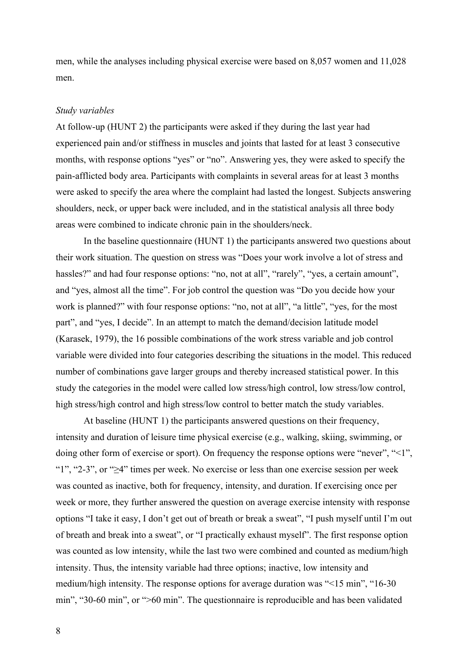men, while the analyses including physical exercise were based on 8,057 women and 11,028 men.

#### *Study variables*

At follow-up (HUNT 2) the participants were asked if they during the last year had experienced pain and/or stiffness in muscles and joints that lasted for at least 3 consecutive months, with response options "yes" or "no". Answering yes, they were asked to specify the pain-afflicted body area. Participants with complaints in several areas for at least 3 months were asked to specify the area where the complaint had lasted the longest. Subjects answering shoulders, neck, or upper back were included, and in the statistical analysis all three body areas were combined to indicate chronic pain in the shoulders/neck.

In the baseline questionnaire (HUNT 1) the participants answered two questions about their work situation. The question on stress was "Does your work involve a lot of stress and hassles?" and had four response options: "no, not at all", "rarely", "yes, a certain amount", and "yes, almost all the time". For job control the question was "Do you decide how your work is planned?" with four response options: "no, not at all", "a little", "yes, for the most part", and "yes, I decide". In an attempt to match the demand/decision latitude model (Karasek, 1979), the 16 possible combinations of the work stress variable and job control variable were divided into four categories describing the situations in the model. This reduced number of combinations gave larger groups and thereby increased statistical power. In this study the categories in the model were called low stress/high control, low stress/low control, high stress/high control and high stress/low control to better match the study variables.

At baseline (HUNT 1) the participants answered questions on their frequency, intensity and duration of leisure time physical exercise (e.g., walking, skiing, swimming, or doing other form of exercise or sport). On frequency the response options were "never", "<1", " $1$ ", "2-3", or " $\geq$ 4" times per week. No exercise or less than one exercise session per week was counted as inactive, both for frequency, intensity, and duration. If exercising once per week or more, they further answered the question on average exercise intensity with response options "I take it easy, I don't get out of breath or break a sweat", "I push myself until I'm out of breath and break into a sweat", or "I practically exhaust myself". The first response option was counted as low intensity, while the last two were combined and counted as medium/high intensity. Thus, the intensity variable had three options; inactive, low intensity and medium/high intensity. The response options for average duration was "<15 min", "16-30 min", "30-60 min", or ">60 min". The questionnaire is reproducible and has been validated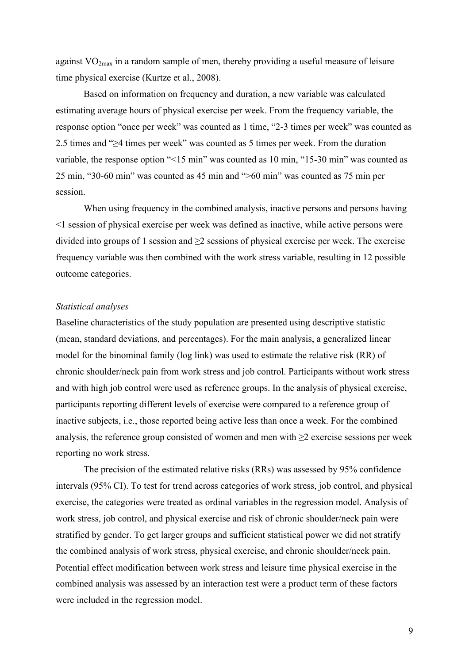against  $VO_{2max}$  in a random sample of men, thereby providing a useful measure of leisure time physical exercise (Kurtze et al., 2008).

Based on information on frequency and duration, a new variable was calculated estimating average hours of physical exercise per week. From the frequency variable, the response option "once per week" was counted as 1 time, "2-3 times per week" was counted as 2.5 times and ">4 times per week" was counted as 5 times per week. From the duration variable, the response option "<15 min" was counted as 10 min, "15-30 min" was counted as 25 min, "30-60 min" was counted as 45 min and ">60 min" was counted as 75 min per session.

When using frequency in the combined analysis, inactive persons and persons having <1 session of physical exercise per week was defined as inactive, while active persons were divided into groups of 1 session and  $\geq$  2 sessions of physical exercise per week. The exercise frequency variable was then combined with the work stress variable, resulting in 12 possible outcome categories.

### *Statistical analyses*

Baseline characteristics of the study population are presented using descriptive statistic (mean, standard deviations, and percentages). For the main analysis, a generalized linear model for the binominal family (log link) was used to estimate the relative risk (RR) of chronic shoulder/neck pain from work stress and job control. Participants without work stress and with high job control were used as reference groups. In the analysis of physical exercise, participants reporting different levels of exercise were compared to a reference group of inactive subjects, i.e., those reported being active less than once a week. For the combined analysis, the reference group consisted of women and men with  $\geq 2$  exercise sessions per week reporting no work stress.

The precision of the estimated relative risks (RRs) was assessed by 95% confidence intervals (95% CI). To test for trend across categories of work stress, job control, and physical exercise, the categories were treated as ordinal variables in the regression model. Analysis of work stress, job control, and physical exercise and risk of chronic shoulder/neck pain were stratified by gender. To get larger groups and sufficient statistical power we did not stratify the combined analysis of work stress, physical exercise, and chronic shoulder/neck pain. Potential effect modification between work stress and leisure time physical exercise in the combined analysis was assessed by an interaction test were a product term of these factors were included in the regression model.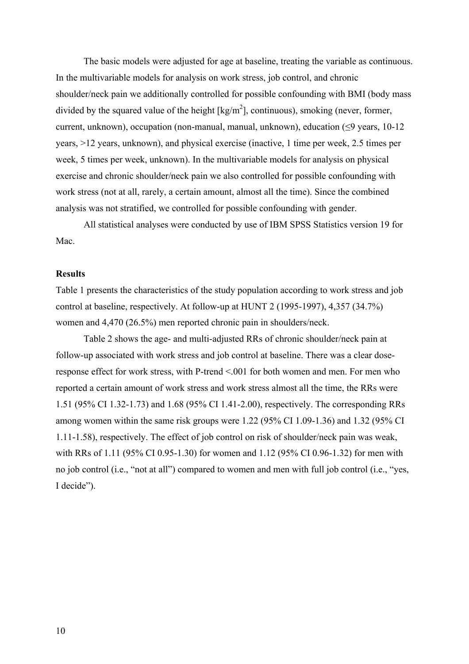The basic models were adjusted for age at baseline, treating the variable as continuous. In the multivariable models for analysis on work stress, job control, and chronic shoulder/neck pain we additionally controlled for possible confounding with BMI (body mass divided by the squared value of the height  $\text{[kg/m}^2\text{]}$ , continuous), smoking (never, former, current, unknown), occupation (non-manual, manual, unknown), education  $( \leq 9 \text{ years}, 10-12 \text{ years})$ years, >12 years, unknown), and physical exercise (inactive, 1 time per week, 2.5 times per week, 5 times per week, unknown). In the multivariable models for analysis on physical exercise and chronic shoulder/neck pain we also controlled for possible confounding with work stress (not at all, rarely, a certain amount, almost all the time). Since the combined analysis was not stratified, we controlled for possible confounding with gender.

All statistical analyses were conducted by use of IBM SPSS Statistics version 19 for Mac.

#### **Results**

Table 1 presents the characteristics of the study population according to work stress and job control at baseline, respectively. At follow-up at HUNT 2 (1995-1997), 4,357 (34.7%) women and 4,470 (26.5%) men reported chronic pain in shoulders/neck.

Table 2 shows the age- and multi-adjusted RRs of chronic shoulder/neck pain at follow-up associated with work stress and job control at baseline. There was a clear doseresponse effect for work stress, with P-trend <.001 for both women and men. For men who reported a certain amount of work stress and work stress almost all the time, the RRs were 1.51 (95% CI 1.32-1.73) and 1.68 (95% CI 1.41-2.00), respectively. The corresponding RRs among women within the same risk groups were 1.22 (95% CI 1.09-1.36) and 1.32 (95% CI 1.11-1.58), respectively. The effect of job control on risk of shoulder/neck pain was weak, with RRs of 1.11 (95% CI 0.95-1.30) for women and 1.12 (95% CI 0.96-1.32) for men with no job control (i.e., "not at all") compared to women and men with full job control (i.e., "yes, I decide").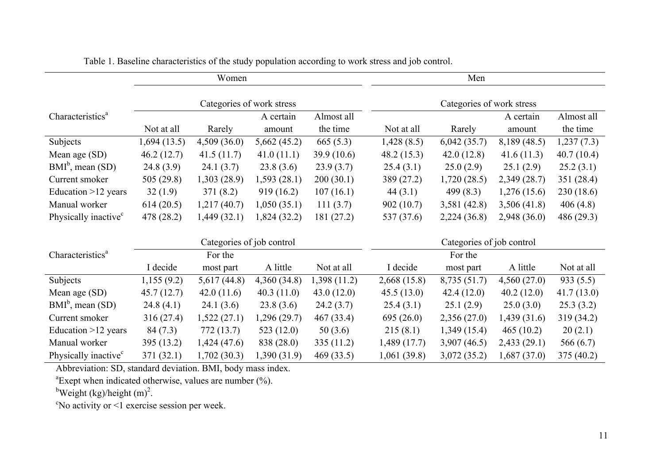|                                  | Women                     |                           |              |             | Men                       |              |              |             |  |  |
|----------------------------------|---------------------------|---------------------------|--------------|-------------|---------------------------|--------------|--------------|-------------|--|--|
|                                  |                           | Categories of work stress |              |             | Categories of work stress |              |              |             |  |  |
| Characteristics <sup>a</sup>     |                           |                           | A certain    | Almost all  |                           |              | A certain    | Almost all  |  |  |
|                                  | Not at all                | Rarely                    | amount       | the time    | Not at all                | Rarely       | amount       | the time    |  |  |
| Subjects                         | 1,694(13.5)               | 4,509(36.0)               | 5,662(45.2)  | 665(5.3)    | 1,428(8.5)                | 6,042(35.7)  | 8,189 (48.5) | 1,237(7.3)  |  |  |
| Mean age (SD)                    | 46.2(12.7)                | 41.5(11.7)                | 41.0(11.1)   | 39.9(10.6)  | 48.2(15.3)                | 42.0(12.8)   | 41.6(11.3)   | 40.7(10.4)  |  |  |
| $BMIb$ , mean (SD)               | 24.8(3.9)                 | 24.1(3.7)                 | 23.8(3.6)    | 23.9(3.7)   | 25.4(3.1)                 | 25.0(2.9)    | 25.1(2.9)    | 25.2(3.1)   |  |  |
| Current smoker                   | 505 (29.8)                | 1,303(28.9)               | 1,593(28.1)  | 200(30.1)   | 389 (27.2)                | 1,720(28.5)  | 2,349 (28.7) | 351 (28.4)  |  |  |
| Education $>12$ years            | 32(1.9)                   | 371(8.2)                  | 919(16.2)    | 107(16.1)   | 44(3.1)                   | 499 $(8.3)$  | 1,276(15.6)  | 230(18.6)   |  |  |
| Manual worker                    | 614(20.5)                 | 1,217(40.7)               | 1,050(35.1)  | 111(3.7)    | 902(10.7)                 | 3,581(42.8)  | 3,506(41.8)  | 406(4.8)    |  |  |
| Physically inactive <sup>c</sup> | 478 (28.2)                | 1,449(32.1)               | 1,824(32.2)  | 181 (27.2)  | 537 (37.6)                | 2,224(36.8)  | 2,948 (36.0) | 486 (29.3)  |  |  |
|                                  | Categories of job control |                           |              |             | Categories of job control |              |              |             |  |  |
| Characteristics <sup>a</sup>     |                           | For the                   |              |             |                           | For the      |              |             |  |  |
|                                  | I decide                  | most part                 | A little     | Not at all  | I decide                  | most part    | A little     | Not at all  |  |  |
| Subjects                         | 1,155(9.2)                | 5,617(44.8)               | 4,360(34.8)  | 1,398(11.2) | 2,668(15.8)               | 8,735 (51.7) | 4,560(27.0)  | 933(5.5)    |  |  |
| Mean age (SD)                    | 45.7(12.7)                | 42.0(11.6)                | 40.3(11.0)   | 43.0(12.0)  | 45.5(13.0)                | 42.4(12.0)   | 40.2(12.0)   | 41.7(13.0)  |  |  |
| $BMIb$ , mean (SD)               | 24.8(4.1)                 | 24.1(3.6)                 | 23.8(3.6)    | 24.2(3.7)   | 25.4(3.1)                 | 25.1(2.9)    | 25.0(3.0)    | 25.3(3.2)   |  |  |
| Current smoker                   | 316(27.4)                 | 1,522(27.1)               | 1,296(29.7)  | 467(33.4)   | 695(26.0)                 | 2,356(27.0)  | 1,439(31.6)  | 319 (34.2)  |  |  |
| Education $>12$ years            | 84 (7.3)                  | 772(13.7)                 | 523(12.0)    | 50(3.6)     | 215(8.1)                  | 1,349(15.4)  | 465(10.2)    | 20(2.1)     |  |  |
| Manual worker                    | 395(13.2)                 | 1,424(47.6)               | 838 (28.0)   | 335(11.2)   | 1,489(17.7)               | 3,907(46.5)  | 2,433(29.1)  | 566 $(6.7)$ |  |  |
| Physically inactive <sup>c</sup> | 371 (32.1)                | 1,702(30.3)               | 1,390 (31.9) | 469 (33.5)  | 1,061 (39.8)              | 3,072(35.2)  | 1,687(37.0)  | 375(40.2)   |  |  |

Table 1. Baseline characteristics of the study population according to work stress and job control.

Abbreviation: SD, standard deviation. BMI, body mass index.

 ${}^{a}$ Exept when indicated otherwise, values are number  $($ %).

<sup>b</sup>Weight (kg)/height  $(m)^2$ .

c No activity or <1 exercise session per week.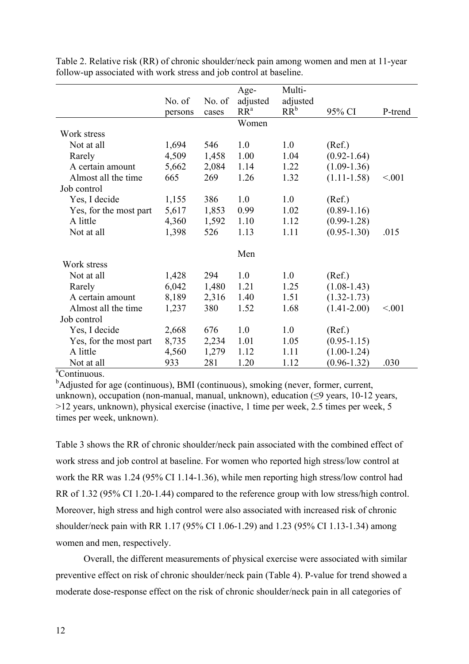|                        |         |        | Age-            | Multi-   |                 |         |
|------------------------|---------|--------|-----------------|----------|-----------------|---------|
|                        | No. of  | No. of | adjusted        | adjusted |                 |         |
|                        | persons | cases  | RR <sup>a</sup> | $RR^b$   | 95% CI          | P-trend |
|                        |         |        | Women           |          |                 |         |
| Work stress            |         |        |                 |          |                 |         |
| Not at all             | 1,694   | 546    | 1.0             | 1.0      | (Ref.)          |         |
| Rarely                 | 4,509   | 1,458  | 1.00            | 1.04     | $(0.92 - 1.64)$ |         |
| A certain amount       | 5,662   | 2,084  | 1.14            | 1.22     | $(1.09-1.36)$   |         |
| Almost all the time    | 665     | 269    | 1.26            | 1.32     | $(1.11 - 1.58)$ | < 0.01  |
| Job control            |         |        |                 |          |                 |         |
| Yes, I decide          | 1,155   | 386    | 1.0             | 1.0      | (Ref.)          |         |
| Yes, for the most part | 5,617   | 1,853  | 0.99            | 1.02     | $(0.89 - 1.16)$ |         |
| A little               | 4,360   | 1,592  | 1.10            | 1.12     | $(0.99 - 1.28)$ |         |
| Not at all             | 1,398   | 526    | 1.13            | 1.11     | $(0.95 - 1.30)$ | .015    |
|                        |         |        |                 |          |                 |         |
|                        |         |        | Men             |          |                 |         |
| Work stress            |         |        |                 |          |                 |         |
| Not at all             | 1,428   | 294    | 1.0             | 1.0      | (Ref.)          |         |
| Rarely                 | 6,042   | 1,480  | 1.21            | 1.25     | $(1.08-1.43)$   |         |
| A certain amount       | 8,189   | 2,316  | 1.40            | 1.51     | $(1.32 - 1.73)$ |         |
| Almost all the time    | 1,237   | 380    | 1.52            | 1.68     | $(1.41 - 2.00)$ | < 0.01  |
| Job control            |         |        |                 |          |                 |         |
| Yes, I decide          | 2,668   | 676    | 1.0             | 1.0      | (Ref.)          |         |
| Yes, for the most part | 8,735   | 2,234  | 1.01            | 1.05     | $(0.95 - 1.15)$ |         |
| A little               | 4,560   | 1,279  | 1.12            | 1.11     | $(1.00-1.24)$   |         |
| Not at all             | 933     | 281    | 1.20            | 1.12     | $(0.96 - 1.32)$ | .030    |

Table 2. Relative risk (RR) of chronic shoulder/neck pain among women and men at 11-year follow-up associated with work stress and job control at baseline.

<sup>a</sup>Continuous.

<sup>b</sup>Adjusted for age (continuous), BMI (continuous), smoking (never, former, current, unknown), occupation (non-manual, manual, unknown), education  $($ >12 years, unknown), physical exercise (inactive, 1 time per week, 2.5 times per week, 5 times per week, unknown).

Table 3 shows the RR of chronic shoulder/neck pain associated with the combined effect of work stress and job control at baseline. For women who reported high stress/low control at work the RR was 1.24 (95% CI 1.14-1.36), while men reporting high stress/low control had RR of 1.32 (95% CI 1.20-1.44) compared to the reference group with low stress/high control. Moreover, high stress and high control were also associated with increased risk of chronic shoulder/neck pain with RR 1.17 (95% CI 1.06-1.29) and 1.23 (95% CI 1.13-1.34) among women and men, respectively.

Overall, the different measurements of physical exercise were associated with similar preventive effect on risk of chronic shoulder/neck pain (Table 4). P-value for trend showed a moderate dose-response effect on the risk of chronic shoulder/neck pain in all categories of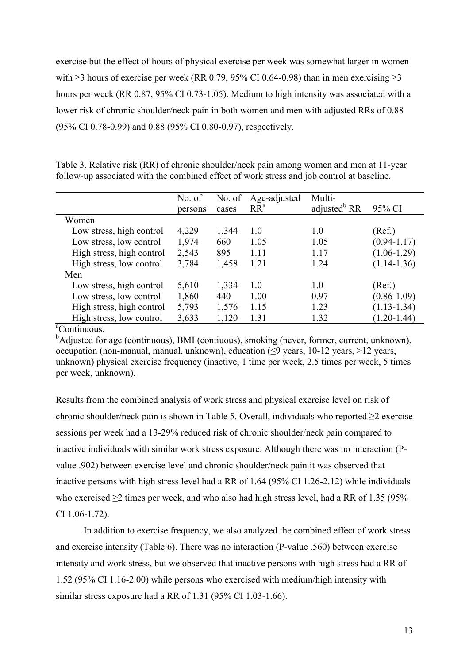exercise but the effect of hours of physical exercise per week was somewhat larger in women with  $\geq$ 3 hours of exercise per week (RR 0.79, 95% CI 0.64-0.98) than in men exercising  $\geq$ 3 hours per week (RR 0.87, 95% CI 0.73-1.05). Medium to high intensity was associated with a lower risk of chronic shoulder/neck pain in both women and men with adjusted RRs of 0.88 (95% CI 0.78-0.99) and 0.88 (95% CI 0.80-0.97), respectively.

Table 3. Relative risk (RR) of chronic shoulder/neck pain among women and men at 11-year follow-up associated with the combined effect of work stress and job control at baseline.

|                           | No. of  | No. of | Age-adjusted    | Multi-                   |                 |
|---------------------------|---------|--------|-----------------|--------------------------|-----------------|
|                           | persons | cases  | RR <sup>a</sup> | adjusted <sup>b</sup> RR | 95% CI          |
| Women                     |         |        |                 |                          |                 |
| Low stress, high control  | 4,229   | 1,344  | 1.0             | 1.0                      | (Ref.)          |
| Low stress, low control   | 1,974   | 660    | 1.05            | 1.05                     | $(0.94 - 1.17)$ |
| High stress, high control | 2,543   | 895    | 1.11            | 1.17                     | $(1.06 - 1.29)$ |
| High stress, low control  | 3,784   | 1,458  | 1.21            | 1.24                     | $(1.14 - 1.36)$ |
| Men                       |         |        |                 |                          |                 |
| Low stress, high control  | 5,610   | 1,334  | 1.0             | 1.0                      | (Ref.)          |
| Low stress, low control   | 1,860   | 440    | 1.00            | 0.97                     | $(0.86 - 1.09)$ |
| High stress, high control | 5,793   | 1,576  | 1.15            | 1.23                     | $(1.13 - 1.34)$ |
| High stress, low control  | 3,633   | 1,120  | 1.31            | 1.32                     | $(1.20 - 1.44)$ |
| $^a$ Continuous           |         |        |                 |                          |                 |

<sup>a</sup>Continuous.

<sup>b</sup>Adjusted for age (continuous), BMI (contiuous), smoking (never, former, current, unknown), occupation (non-manual, manual, unknown), education  $($ ( $\leq$ 9 years, 10-12 years,  $>$ 12 years, unknown) physical exercise frequency (inactive, 1 time per week, 2.5 times per week, 5 times per week, unknown).

Results from the combined analysis of work stress and physical exercise level on risk of chronic shoulder/neck pain is shown in Table 5. Overall, individuals who reported  $\geq$  2 exercise sessions per week had a 13-29% reduced risk of chronic shoulder/neck pain compared to inactive individuals with similar work stress exposure. Although there was no interaction (Pvalue .902) between exercise level and chronic shoulder/neck pain it was observed that inactive persons with high stress level had a RR of 1.64 (95% CI 1.26-2.12) while individuals who exercised  $\geq$  2 times per week, and who also had high stress level, had a RR of 1.35 (95%) CI 1.06-1.72).

In addition to exercise frequency, we also analyzed the combined effect of work stress and exercise intensity (Table 6). There was no interaction (P-value .560) between exercise intensity and work stress, but we observed that inactive persons with high stress had a RR of 1.52 (95% CI 1.16-2.00) while persons who exercised with medium/high intensity with similar stress exposure had a RR of 1.31 (95% CI 1.03-1.66).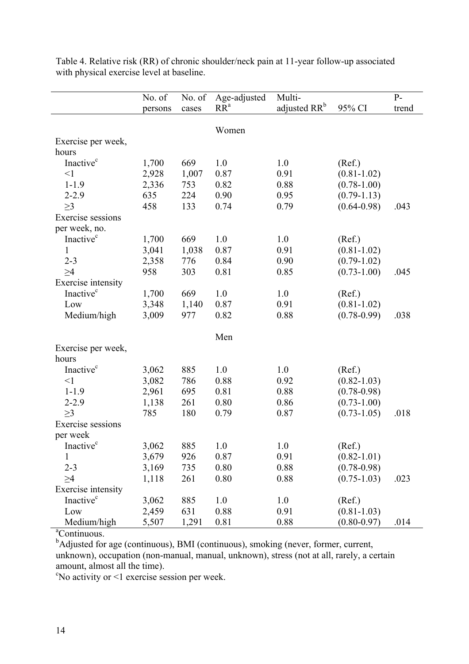|                           | No. of<br>No. of |       | Age-adjusted    | $P-$                               |                 |       |
|---------------------------|------------------|-------|-----------------|------------------------------------|-----------------|-------|
|                           | persons          | cases | RR <sup>a</sup> | Multi-<br>adjusted RR <sup>b</sup> | 95% CI          | trend |
|                           |                  |       |                 |                                    |                 |       |
|                           |                  |       | Women           |                                    |                 |       |
| Exercise per week,        |                  |       |                 |                                    |                 |       |
| hours                     |                  |       |                 |                                    |                 |       |
| Inactive <sup>c</sup>     | 1,700            | 669   | 1.0             | 1.0                                | (Ref.)          |       |
| $\leq$ 1                  | 2,928            | 1,007 | 0.87            | 0.91                               | $(0.81 - 1.02)$ |       |
| $1 - 1.9$                 | 2,336            | 753   | 0.82            | 0.88                               | $(0.78 - 1.00)$ |       |
| $2 - 2.9$                 | 635              | 224   | 0.90            | 0.95                               | $(0.79-1.13)$   |       |
| $\geq$ 3                  | 458              | 133   | 0.74            | 0.79                               | $(0.64 - 0.98)$ | .043  |
| Exercise sessions         |                  |       |                 |                                    |                 |       |
| per week, no.             |                  |       |                 |                                    |                 |       |
| Inactive <sup>c</sup>     | 1,700            | 669   | 1.0             | 1.0                                | (Ref.)          |       |
| 1                         | 3,041            | 1,038 | 0.87            | 0.91                               | $(0.81 - 1.02)$ |       |
| $2 - 3$                   | 2,358            | 776   | 0.84            | 0.90                               | $(0.79-1.02)$   |       |
| >4                        | 958              | 303   | 0.81            | 0.85                               | $(0.73 - 1.00)$ | .045  |
| Exercise intensity        |                  |       |                 |                                    |                 |       |
| Inactive <sup>c</sup>     | 1,700            | 669   | 1.0             | 1.0                                | (Ref.)          |       |
| Low                       | 3,348            | 1,140 | 0.87            | 0.91                               | $(0.81 - 1.02)$ |       |
| Medium/high               | 3,009            | 977   | 0.82            | 0.88                               | $(0.78 - 0.99)$ | .038  |
|                           |                  |       |                 |                                    |                 |       |
|                           |                  |       | Men             |                                    |                 |       |
| Exercise per week,        |                  |       |                 |                                    |                 |       |
| hours                     |                  |       |                 |                                    |                 |       |
| Inactive <sup>c</sup>     | 3,062            | 885   | 1.0             | 1.0                                | (Ref.)          |       |
| $\leq$ 1                  | 3,082            | 786   | 0.88            | 0.92                               | $(0.82 - 1.03)$ |       |
| $1 - 1.9$                 | 2,961            | 695   | 0.81            | 0.88                               | $(0.78 - 0.98)$ |       |
| $2 - 2.9$                 | 1,138            | 261   | 0.80            | 0.86                               | $(0.73 - 1.00)$ |       |
| $\geq$ 3                  | 785              | 180   | 0.79            | 0.87                               | $(0.73 - 1.05)$ | .018  |
| <b>Exercise</b> sessions  |                  |       |                 |                                    |                 |       |
| per week                  |                  |       |                 |                                    |                 |       |
| Inactive <sup>c</sup>     | 3,062            | 885   | 1.0             | $1.0\,$                            | (Ref.)          |       |
| 1                         | 3,679            | 926   | 0.87            | 0.91                               | $(0.82 - 1.01)$ |       |
| $2 - 3$                   | 3,169            | 735   | 0.80            | 0.88                               | $(0.78 - 0.98)$ |       |
| $\geq$ 4                  | 1,118            | 261   | 0.80            | 0.88                               | $(0.75 - 1.03)$ | .023  |
| <b>Exercise</b> intensity |                  |       |                 |                                    |                 |       |
| Inactive <sup>c</sup>     | 3,062            | 885   | 1.0             | 1.0                                | (Ref.)          |       |
| Low                       | 2,459            | 631   | 0.88            | 0.91                               | $(0.81 - 1.03)$ |       |
| Medium/high               | 5,507            | 1,291 | 0.81            | 0.88                               | $(0.80 - 0.97)$ | .014  |

Table 4. Relative risk (RR) of chronic shoulder/neck pain at 11-year follow-up associated with physical exercise level at baseline.

<sup>a</sup>Continuous.

<sup>a</sup>Continuous.<br><sup>b</sup>Adjusted for age (continuous), BMI (continuous), smoking (never, former, current, unknown), occupation (non-manual, manual, unknown), stress (not at all, rarely, a certain amount, almost all the time).

c No activity or <1 exercise session per week.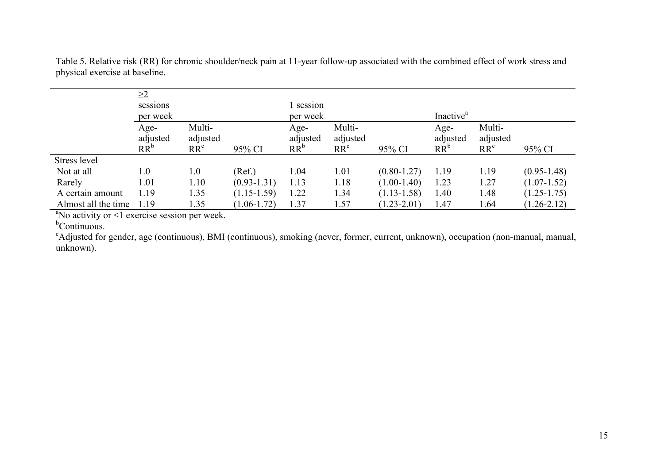|                     | $\geq$ 2<br>sessions<br>per week |                                       |                 | session<br>per week        |                                       |                 | Inactive <sup>a</sup>      |                                       |                 |
|---------------------|----------------------------------|---------------------------------------|-----------------|----------------------------|---------------------------------------|-----------------|----------------------------|---------------------------------------|-----------------|
|                     | Age-<br>adjusted<br>$RR^b$       | Multi-<br>adjusted<br>RR <sup>c</sup> | 95% CI          | Age-<br>adjusted<br>$RR^b$ | Multi-<br>adjusted<br>RR <sup>c</sup> | 95% CI          | Age-<br>adjusted<br>$RR^b$ | Multi-<br>adjusted<br>RR <sup>c</sup> | 95% CI          |
| Stress level        |                                  |                                       |                 |                            |                                       |                 |                            |                                       |                 |
| Not at all          | 1.0                              | 1.0                                   | (Ref.)          | 1.04                       | 1.01                                  | $(0.80 - 1.27)$ | 1.19                       | 1.19                                  | $(0.95 - 1.48)$ |
| Rarely              | 1.01                             | 1.10                                  | $(0.93 - 1.31)$ | 1.13                       | 1.18                                  | $(1.00-1.40)$   | 1.23                       | 1.27                                  | $(1.07 - 1.52)$ |
| A certain amount    | 1.19                             | 1.35                                  | $(1.15-1.59)$   | 1.22                       | 1.34                                  | $(1.13 - 1.58)$ | 1.40                       | 1.48                                  | $(1.25 - 1.75)$ |
| Almost all the time | 1.19                             | 1.35                                  | $(1.06 - 1.72)$ | 1.37                       | 1.57                                  | $(1.23 - 2.01)$ | 1.47                       | 1.64                                  | $(1.26 - 2.12)$ |

Table 5. Relative risk (RR) for chronic shoulder/neck pain at 11-year follow-up associated with the combined effect of work stress and physical exercise at baseline.

<sup>a</sup>No activity or <1 exercise session per week.<br>
<sup>b</sup>Continuous.

Adjusted for gender, age (continuous), BMI (continuous), smoking (never, former, current, unknown), occupation (non-manual, manual, unknown).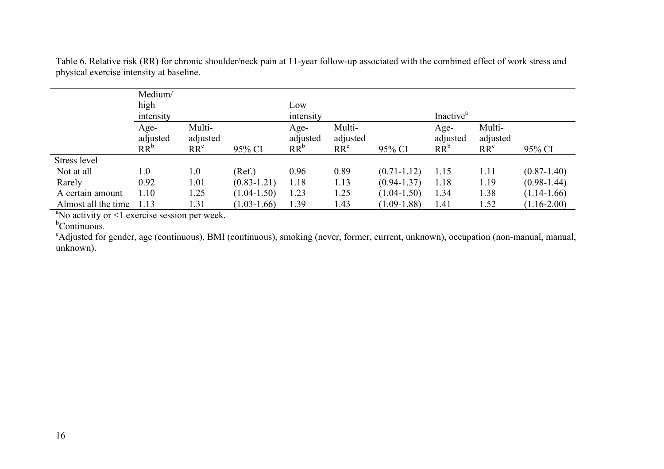|                     | Medium/<br>high<br>intensity |                                       |                 | Low<br>intensity           |                                       |                 |                            | Inactive <sup>a</sup>                 |                 |  |
|---------------------|------------------------------|---------------------------------------|-----------------|----------------------------|---------------------------------------|-----------------|----------------------------|---------------------------------------|-----------------|--|
|                     | Age-<br>adjusted<br>$RR^b$   | Multi-<br>adjusted<br>RR <sup>c</sup> | 95% CI          | Age-<br>adjusted<br>$RR^b$ | Multi-<br>adjusted<br>RR <sup>c</sup> | 95% CI          | Age-<br>adjusted<br>$RR^b$ | Multi-<br>adjusted<br>RR <sup>c</sup> | 95% CI          |  |
| Stress level        |                              |                                       |                 |                            |                                       |                 |                            |                                       |                 |  |
| Not at all          | 1.0                          | 1.0                                   | (Ref.)          | 0.96                       | 0.89                                  | $(0.71 - 1.12)$ | 1.15                       | 1.11                                  | $(0.87 - 1.40)$ |  |
| Rarely              | 0.92                         | 1.01                                  | $(0.83 - 1.21)$ | 1.18                       | 1.13                                  | $(0.94 - 1.37)$ | 1.18                       | 1.19                                  | $(0.98 - 1.44)$ |  |
| A certain amount    | 1.10                         | 1.25                                  | $(1.04 - 1.50)$ | 1.23                       | 1.25                                  | $(1.04 - 1.50)$ | 1.34                       | 1.38                                  | $(1.14-1.66)$   |  |
| Almost all the time | 1.13                         | 1.31                                  | $(1.03-1.66)$   | 1.39                       | 1.43                                  | $(1.09 - 1.88)$ | 1.41                       | 1.52                                  | $(1.16 - 2.00)$ |  |

Table 6. Relative risk (RR) for chronic shoulder/neck pain at 11-year follow-up associated with the combined effect of work stress and physical exercise intensity at baseline.

<sup>a</sup>No activity or <1 exercise session per week.<br>
<sup>b</sup>Continuous.

Adjusted for gender, age (continuous), BMI (continuous), smoking (never, former, current, unknown), occupation (non-manual, manual, unknown).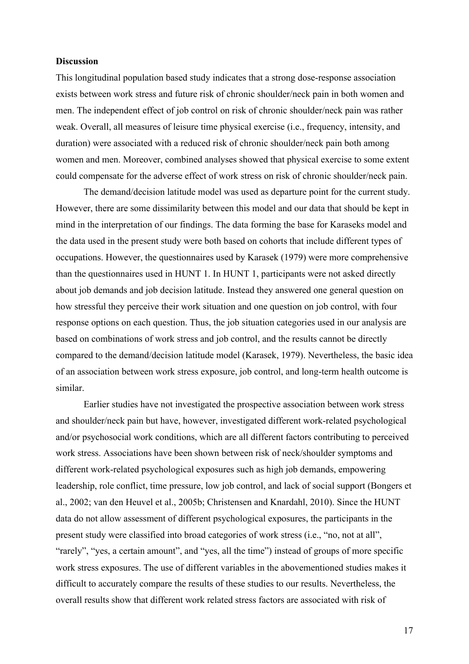#### **Discussion**

This longitudinal population based study indicates that a strong dose-response association exists between work stress and future risk of chronic shoulder/neck pain in both women and men. The independent effect of job control on risk of chronic shoulder/neck pain was rather weak. Overall, all measures of leisure time physical exercise (i.e., frequency, intensity, and duration) were associated with a reduced risk of chronic shoulder/neck pain both among women and men. Moreover, combined analyses showed that physical exercise to some extent could compensate for the adverse effect of work stress on risk of chronic shoulder/neck pain.

The demand/decision latitude model was used as departure point for the current study. However, there are some dissimilarity between this model and our data that should be kept in mind in the interpretation of our findings. The data forming the base for Karaseks model and the data used in the present study were both based on cohorts that include different types of occupations. However, the questionnaires used by Karasek (1979) were more comprehensive than the questionnaires used in HUNT 1. In HUNT 1, participants were not asked directly about job demands and job decision latitude. Instead they answered one general question on how stressful they perceive their work situation and one question on job control, with four response options on each question. Thus, the job situation categories used in our analysis are based on combinations of work stress and job control, and the results cannot be directly compared to the demand/decision latitude model (Karasek, 1979). Nevertheless, the basic idea of an association between work stress exposure, job control, and long-term health outcome is similar.

Earlier studies have not investigated the prospective association between work stress and shoulder/neck pain but have, however, investigated different work-related psychological and/or psychosocial work conditions, which are all different factors contributing to perceived work stress. Associations have been shown between risk of neck/shoulder symptoms and different work-related psychological exposures such as high job demands, empowering leadership, role conflict, time pressure, low job control, and lack of social support (Bongers et al., 2002; van den Heuvel et al., 2005b; Christensen and Knardahl, 2010). Since the HUNT data do not allow assessment of different psychological exposures, the participants in the present study were classified into broad categories of work stress (i.e., "no, not at all", "rarely", "yes, a certain amount", and "yes, all the time") instead of groups of more specific work stress exposures. The use of different variables in the abovementioned studies makes it difficult to accurately compare the results of these studies to our results. Nevertheless, the overall results show that different work related stress factors are associated with risk of

17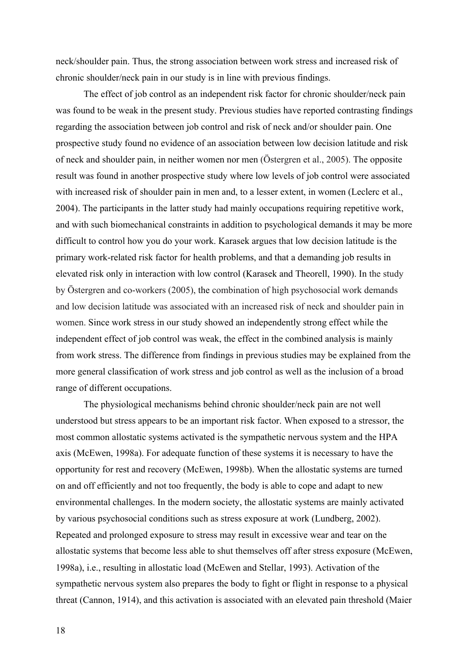neck/shoulder pain. Thus, the strong association between work stress and increased risk of chronic shoulder/neck pain in our study is in line with previous findings.

The effect of job control as an independent risk factor for chronic shoulder/neck pain was found to be weak in the present study. Previous studies have reported contrasting findings regarding the association between job control and risk of neck and/or shoulder pain. One prospective study found no evidence of an association between low decision latitude and risk of neck and shoulder pain, in neither women nor men (Östergren et al., 2005). The opposite result was found in another prospective study where low levels of job control were associated with increased risk of shoulder pain in men and, to a lesser extent, in women (Leclerc et al., 2004). The participants in the latter study had mainly occupations requiring repetitive work, and with such biomechanical constraints in addition to psychological demands it may be more difficult to control how you do your work. Karasek argues that low decision latitude is the primary work-related risk factor for health problems, and that a demanding job results in elevated risk only in interaction with low control (Karasek and Theorell, 1990). In the study by Östergren and co-workers (2005), the combination of high psychosocial work demands and low decision latitude was associated with an increased risk of neck and shoulder pain in women. Since work stress in our study showed an independently strong effect while the independent effect of job control was weak, the effect in the combined analysis is mainly from work stress. The difference from findings in previous studies may be explained from the more general classification of work stress and job control as well as the inclusion of a broad range of different occupations.

The physiological mechanisms behind chronic shoulder/neck pain are not well understood but stress appears to be an important risk factor. When exposed to a stressor, the most common allostatic systems activated is the sympathetic nervous system and the HPA axis (McEwen, 1998a). For adequate function of these systems it is necessary to have the opportunity for rest and recovery (McEwen, 1998b). When the allostatic systems are turned on and off efficiently and not too frequently, the body is able to cope and adapt to new environmental challenges. In the modern society, the allostatic systems are mainly activated by various psychosocial conditions such as stress exposure at work (Lundberg, 2002). Repeated and prolonged exposure to stress may result in excessive wear and tear on the allostatic systems that become less able to shut themselves off after stress exposure (McEwen, 1998a), i.e., resulting in allostatic load (McEwen and Stellar, 1993). Activation of the sympathetic nervous system also prepares the body to fight or flight in response to a physical threat (Cannon, 1914), and this activation is associated with an elevated pain threshold (Maier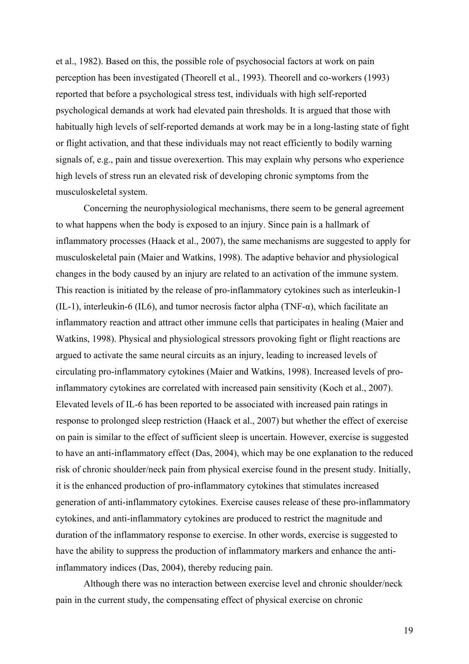et al., 1982). Based on this, the possible role of psychosocial factors at work on pain perception has been investigated (Theorell et al., 1993). Theorell and co-workers (1993) reported that before a psychological stress test, individuals with high self-reported psychological demands at work had elevated pain thresholds. It is argued that those with habitually high levels of self-reported demands at work may be in a long-lasting state of fight or flight activation, and that these individuals may not react efficiently to bodily warning signals of, e.g., pain and tissue overexertion. This may explain why persons who experience high levels of stress run an elevated risk of developing chronic symptoms from the musculoskeletal system.

Concerning the neurophysiological mechanisms, there seem to be general agreement to what happens when the body is exposed to an injury. Since pain is a hallmark of inflammatory processes (Haack et al., 2007), the same mechanisms are suggested to apply for musculoskeletal pain (Maier and Watkins, 1998). The adaptive behavior and physiological changes in the body caused by an injury are related to an activation of the immune system. This reaction is initiated by the release of pro-inflammatory cytokines such as interleukin-1 (IL-1), interleukin-6 (IL6), and tumor necrosis factor alpha (TNF- $\alpha$ ), which facilitate an inflammatory reaction and attract other immune cells that participates in healing (Maier and Watkins, 1998). Physical and physiological stressors provoking fight or flight reactions are argued to activate the same neural circuits as an injury, leading to increased levels of circulating pro-inflammatory cytokines (Maier and Watkins, 1998). Increased levels of proinflammatory cytokines are correlated with increased pain sensitivity (Koch et al., 2007). Elevated levels of IL-6 has been reported to be associated with increased pain ratings in response to prolonged sleep restriction (Haack et al., 2007) but whether the effect of exercise on pain is similar to the effect of sufficient sleep is uncertain. However, exercise is suggested to have an anti-inflammatory effect (Das, 2004), which may be one explanation to the reduced risk of chronic shoulder/neck pain from physical exercise found in the present study. Initially, it is the enhanced production of pro-inflammatory cytokines that stimulates increased generation of anti-inflammatory cytokines. Exercise causes release of these pro-inflammatory cytokines, and anti-inflammatory cytokines are produced to restrict the magnitude and duration of the inflammatory response to exercise. In other words, exercise is suggested to have the ability to suppress the production of inflammatory markers and enhance the antiinflammatory indices (Das, 2004), thereby reducing pain.

Although there was no interaction between exercise level and chronic shoulder/neck pain in the current study, the compensating effect of physical exercise on chronic

19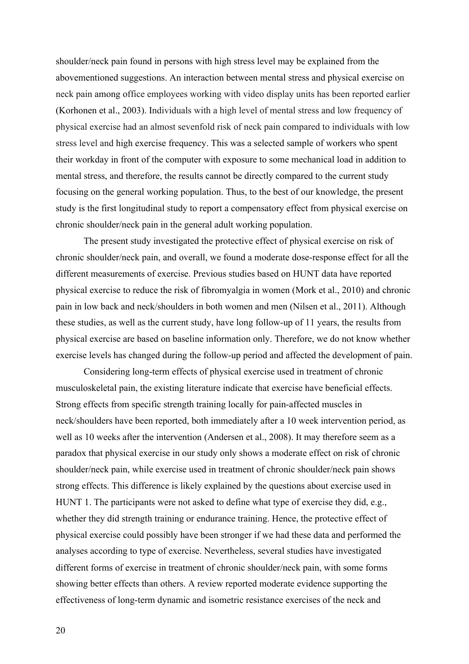shoulder/neck pain found in persons with high stress level may be explained from the abovementioned suggestions. An interaction between mental stress and physical exercise on neck pain among office employees working with video display units has been reported earlier (Korhonen et al., 2003). Individuals with a high level of mental stress and low frequency of physical exercise had an almost sevenfold risk of neck pain compared to individuals with low stress level and high exercise frequency. This was a selected sample of workers who spent their workday in front of the computer with exposure to some mechanical load in addition to mental stress, and therefore, the results cannot be directly compared to the current study focusing on the general working population. Thus, to the best of our knowledge, the present study is the first longitudinal study to report a compensatory effect from physical exercise on chronic shoulder/neck pain in the general adult working population.

The present study investigated the protective effect of physical exercise on risk of chronic shoulder/neck pain, and overall, we found a moderate dose-response effect for all the different measurements of exercise. Previous studies based on HUNT data have reported physical exercise to reduce the risk of fibromyalgia in women (Mork et al., 2010) and chronic pain in low back and neck/shoulders in both women and men (Nilsen et al., 2011). Although these studies, as well as the current study, have long follow-up of 11 years, the results from physical exercise are based on baseline information only. Therefore, we do not know whether exercise levels has changed during the follow-up period and affected the development of pain.

Considering long-term effects of physical exercise used in treatment of chronic musculoskeletal pain, the existing literature indicate that exercise have beneficial effects. Strong effects from specific strength training locally for pain-affected muscles in neck/shoulders have been reported, both immediately after a 10 week intervention period, as well as 10 weeks after the intervention (Andersen et al., 2008). It may therefore seem as a paradox that physical exercise in our study only shows a moderate effect on risk of chronic shoulder/neck pain, while exercise used in treatment of chronic shoulder/neck pain shows strong effects. This difference is likely explained by the questions about exercise used in HUNT 1. The participants were not asked to define what type of exercise they did, e.g., whether they did strength training or endurance training. Hence, the protective effect of physical exercise could possibly have been stronger if we had these data and performed the analyses according to type of exercise. Nevertheless, several studies have investigated different forms of exercise in treatment of chronic shoulder/neck pain, with some forms showing better effects than others. A review reported moderate evidence supporting the effectiveness of long-term dynamic and isometric resistance exercises of the neck and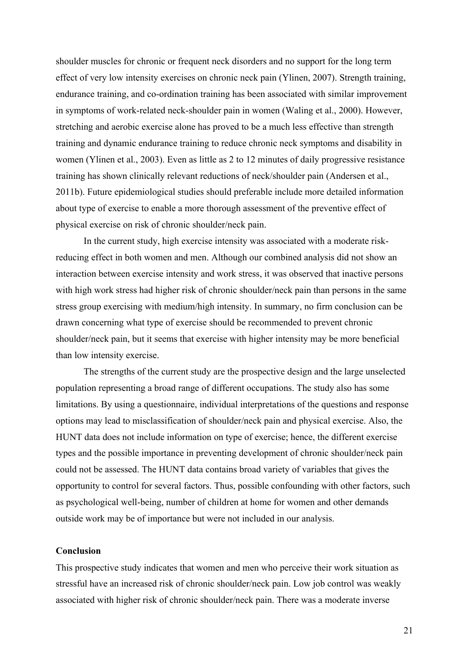shoulder muscles for chronic or frequent neck disorders and no support for the long term effect of very low intensity exercises on chronic neck pain (Ylinen, 2007). Strength training, endurance training, and co-ordination training has been associated with similar improvement in symptoms of work-related neck-shoulder pain in women (Waling et al., 2000). However, stretching and aerobic exercise alone has proved to be a much less effective than strength training and dynamic endurance training to reduce chronic neck symptoms and disability in women (Ylinen et al., 2003). Even as little as 2 to 12 minutes of daily progressive resistance training has shown clinically relevant reductions of neck/shoulder pain (Andersen et al., 2011b). Future epidemiological studies should preferable include more detailed information about type of exercise to enable a more thorough assessment of the preventive effect of physical exercise on risk of chronic shoulder/neck pain.

In the current study, high exercise intensity was associated with a moderate riskreducing effect in both women and men. Although our combined analysis did not show an interaction between exercise intensity and work stress, it was observed that inactive persons with high work stress had higher risk of chronic shoulder/neck pain than persons in the same stress group exercising with medium/high intensity. In summary, no firm conclusion can be drawn concerning what type of exercise should be recommended to prevent chronic shoulder/neck pain, but it seems that exercise with higher intensity may be more beneficial than low intensity exercise.

The strengths of the current study are the prospective design and the large unselected population representing a broad range of different occupations. The study also has some limitations. By using a questionnaire, individual interpretations of the questions and response options may lead to misclassification of shoulder/neck pain and physical exercise. Also, the HUNT data does not include information on type of exercise; hence, the different exercise types and the possible importance in preventing development of chronic shoulder/neck pain could not be assessed. The HUNT data contains broad variety of variables that gives the opportunity to control for several factors. Thus, possible confounding with other factors, such as psychological well-being, number of children at home for women and other demands outside work may be of importance but were not included in our analysis.

#### **Conclusion**

This prospective study indicates that women and men who perceive their work situation as stressful have an increased risk of chronic shoulder/neck pain. Low job control was weakly associated with higher risk of chronic shoulder/neck pain. There was a moderate inverse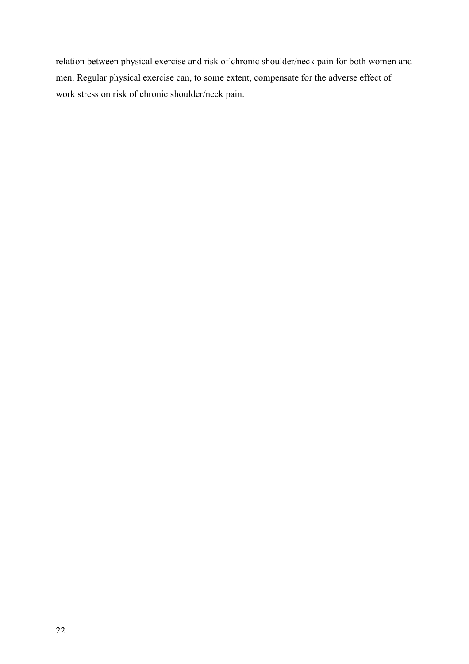relation between physical exercise and risk of chronic shoulder/neck pain for both women and men. Regular physical exercise can, to some extent, compensate for the adverse effect of work stress on risk of chronic shoulder/neck pain.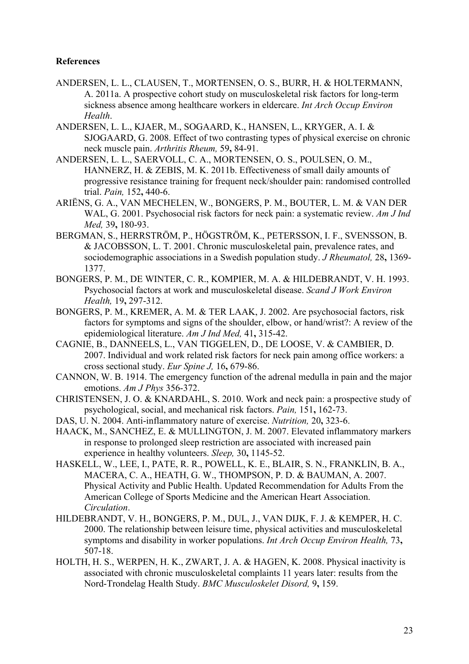## **References**

- ANDERSEN, L. L., CLAUSEN, T., MORTENSEN, O. S., BURR, H. & HOLTERMANN, A. 2011a. A prospective cohort study on musculoskeletal risk factors for long-term sickness absence among healthcare workers in eldercare. *Int Arch Occup Environ Health*.
- ANDERSEN, L. L., KJAER, M., SOGAARD, K., HANSEN, L., KRYGER, A. I. & SJOGAARD, G. 2008. Effect of two contrasting types of physical exercise on chronic neck muscle pain. *Arthritis Rheum,* 59**,** 84-91.
- ANDERSEN, L. L., SAERVOLL, C. A., MORTENSEN, O. S., POULSEN, O. M., HANNERZ, H. & ZEBIS, M. K. 2011b. Effectiveness of small daily amounts of progressive resistance training for frequent neck/shoulder pain: randomised controlled trial. *Pain,* 152**,** 440-6.
- ARIËNS, G. A., VAN MECHELEN, W., BONGERS, P. M., BOUTER, L. M. & VAN DER WAL, G. 2001. Psychosocial risk factors for neck pain: a systematic review. *Am J Ind Med,* 39**,** 180-93.
- BERGMAN, S., HERRSTRÖM, P., HÖGSTRÖM, K., PETERSSON, I. F., SVENSSON, B. & JACOBSSON, L. T. 2001. Chronic musculoskeletal pain, prevalence rates, and sociodemographic associations in a Swedish population study. *J Rheumatol,* 28**,** 1369- 1377.
- BONGERS, P. M., DE WINTER, C. R., KOMPIER, M. A. & HILDEBRANDT, V. H. 1993. Psychosocial factors at work and musculoskeletal disease. *Scand J Work Environ Health,* 19**,** 297-312.
- BONGERS, P. M., KREMER, A. M. & TER LAAK, J. 2002. Are psychosocial factors, risk factors for symptoms and signs of the shoulder, elbow, or hand/wrist?: A review of the epidemiological literature. *Am J Ind Med,* 41**,** 315-42.
- CAGNIE, B., DANNEELS, L., VAN TIGGELEN, D., DE LOOSE, V. & CAMBIER, D. 2007. Individual and work related risk factors for neck pain among office workers: a cross sectional study. *Eur Spine J,* 16**,** 679-86.
- CANNON, W. B. 1914. The emergency function of the adrenal medulla in pain and the major emotions. *Am J Phys* 356-372.
- CHRISTENSEN, J. O. & KNARDAHL, S. 2010. Work and neck pain: a prospective study of psychological, social, and mechanical risk factors. *Pain,* 151**,** 162-73.
- DAS, U. N. 2004. Anti-inflammatory nature of exercise. *Nutrition,* 20**,** 323-6.
- HAACK, M., SANCHEZ, E. & MULLINGTON, J. M. 2007. Elevated inflammatory markers in response to prolonged sleep restriction are associated with increased pain experience in healthy volunteers. *Sleep,* 30**,** 1145-52.
- HASKELL, W., LEE, I., PATE, R. R., POWELL, K. E., BLAIR, S. N., FRANKLIN, B. A., MACERA, C. A., HEATH, G. W., THOMPSON, P. D. & BAUMAN, A. 2007. Physical Activity and Public Health. Updated Recommendation for Adults From the American College of Sports Medicine and the American Heart Association. *Circulation*.
- HILDEBRANDT, V. H., BONGERS, P. M., DUL, J., VAN DIJK, F. J. & KEMPER, H. C. 2000. The relationship between leisure time, physical activities and musculoskeletal symptoms and disability in worker populations. *Int Arch Occup Environ Health,* 73**,** 507-18.
- HOLTH, H. S., WERPEN, H. K., ZWART, J. A. & HAGEN, K. 2008. Physical inactivity is associated with chronic musculoskeletal complaints 11 years later: results from the Nord-Trondelag Health Study. *BMC Musculoskelet Disord,* 9**,** 159.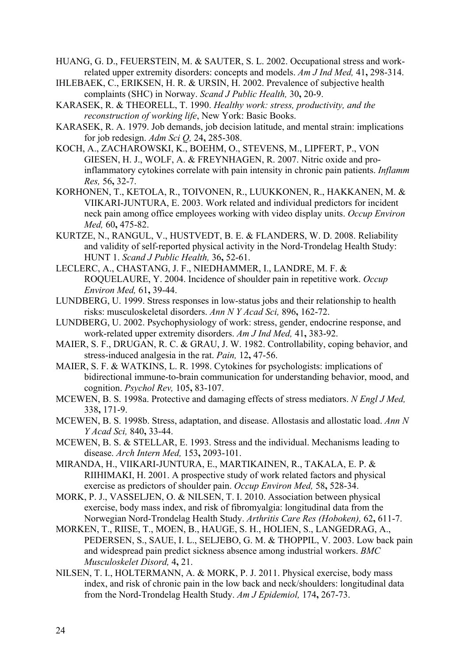HUANG, G. D., FEUERSTEIN, M. & SAUTER, S. L. 2002. Occupational stress and workrelated upper extremity disorders: concepts and models. *Am J Ind Med,* 41**,** 298-314.

- IHLEBAEK, C., ERIKSEN, H. R. & URSIN, H. 2002. Prevalence of subjective health complaints (SHC) in Norway. *Scand J Public Health,* 30**,** 20-9.
- KARASEK, R. & THEORELL, T. 1990. *Healthy work: stress, productivity, and the reconstruction of working life*, New York: Basic Books.
- KARASEK, R. A. 1979. Job demands, job decision latitude, and mental strain: implications for job redesign. *Adm Sci Q,* 24**,** 285-308.
- KOCH, A., ZACHAROWSKI, K., BOEHM, O., STEVENS, M., LIPFERT, P., VON GIESEN, H. J., WOLF, A. & FREYNHAGEN, R. 2007. Nitric oxide and proinflammatory cytokines correlate with pain intensity in chronic pain patients. *Inflamm Res,* 56**,** 32-7.
- KORHONEN, T., KETOLA, R., TOIVONEN, R., LUUKKONEN, R., HAKKANEN, M. & VIIKARI-JUNTURA, E. 2003. Work related and individual predictors for incident neck pain among office employees working with video display units. *Occup Environ Med,* 60**,** 475-82.
- KURTZE, N., RANGUL, V., HUSTVEDT, B. E. & FLANDERS, W. D. 2008. Reliability and validity of self-reported physical activity in the Nord-Trondelag Health Study: HUNT 1. *Scand J Public Health,* 36**,** 52-61.
- LECLERC, A., CHASTANG, J. F., NIEDHAMMER, I., LANDRE, M. F. & ROQUELAURE, Y. 2004. Incidence of shoulder pain in repetitive work. *Occup Environ Med,* 61**,** 39-44.
- LUNDBERG, U. 1999. Stress responses in low-status jobs and their relationship to health risks: musculoskeletal disorders. *Ann N Y Acad Sci,* 896**,** 162-72.
- LUNDBERG, U. 2002. Psychophysiology of work: stress, gender, endocrine response, and work-related upper extremity disorders. *Am J Ind Med,* 41**,** 383-92.
- MAIER, S. F., DRUGAN, R. C. & GRAU, J. W. 1982. Controllability, coping behavior, and stress-induced analgesia in the rat. *Pain,* 12**,** 47-56.
- MAIER, S. F. & WATKINS, L. R. 1998. Cytokines for psychologists: implications of bidirectional immune-to-brain communication for understanding behavior, mood, and cognition. *Psychol Rev,* 105**,** 83-107.
- MCEWEN, B. S. 1998a. Protective and damaging effects of stress mediators. *N Engl J Med,* 338**,** 171-9.
- MCEWEN, B. S. 1998b. Stress, adaptation, and disease. Allostasis and allostatic load. *Ann N Y Acad Sci,* 840**,** 33-44.
- MCEWEN, B. S. & STELLAR, E. 1993. Stress and the individual. Mechanisms leading to disease. *Arch Intern Med,* 153**,** 2093-101.
- MIRANDA, H., VIIKARI-JUNTURA, E., MARTIKAINEN, R., TAKALA, E. P. & RIIHIMAKI, H. 2001. A prospective study of work related factors and physical exercise as predictors of shoulder pain. *Occup Environ Med,* 58**,** 528-34.
- MORK, P. J., VASSELJEN, O. & NILSEN, T. I. 2010. Association between physical exercise, body mass index, and risk of fibromyalgia: longitudinal data from the Norwegian Nord-Trondelag Health Study. *Arthritis Care Res (Hoboken),* 62**,** 611-7.
- MORKEN, T., RIISE, T., MOEN, B., HAUGE, S. H., HOLIEN, S., LANGEDRAG, A., PEDERSEN, S., SAUE, I. L., SELJEBO, G. M. & THOPPIL, V. 2003. Low back pain and widespread pain predict sickness absence among industrial workers. *BMC Musculoskelet Disord,* 4**,** 21.
- NILSEN, T. I., HOLTERMANN, A. & MORK, P. J. 2011. Physical exercise, body mass index, and risk of chronic pain in the low back and neck/shoulders: longitudinal data from the Nord-Trondelag Health Study. *Am J Epidemiol,* 174**,** 267-73.